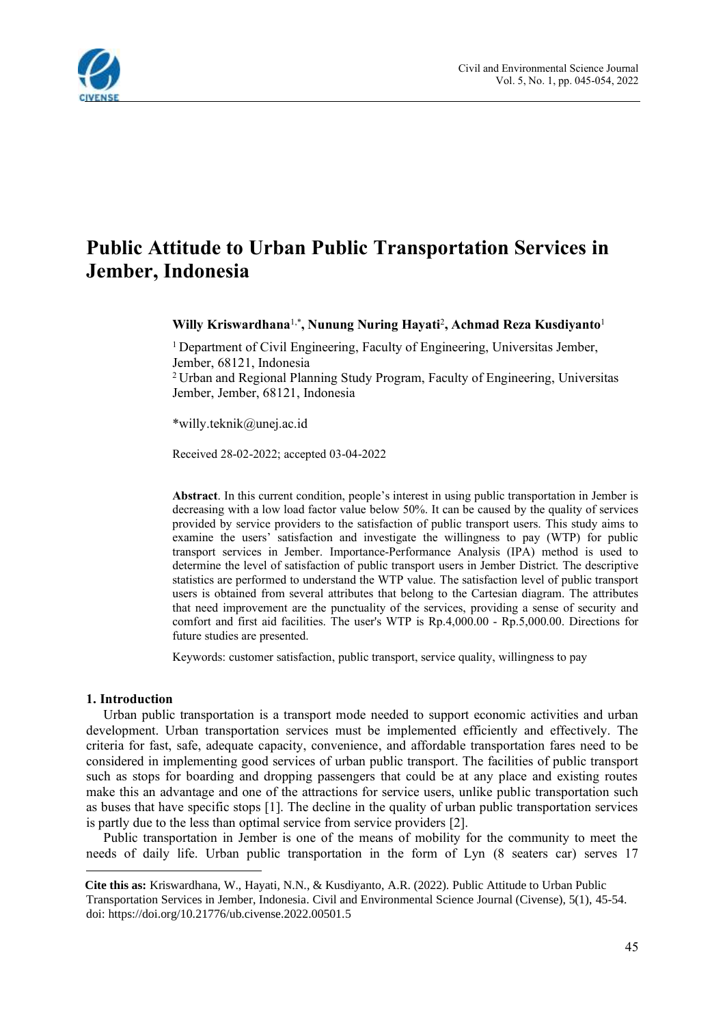



# **Public Attitude to Urban Public Transportation Services in Jember, Indonesia**

**Willy Kriswardhana**1,\* **, Nunung Nuring Hayati**<sup>2</sup> **, Achmad Reza Kusdiyanto**<sup>1</sup>

<sup>1</sup> Department of Civil Engineering, Faculty of Engineering, Universitas Jember, Jember, 68121, Indonesia

<sup>2</sup> Urban and Regional Planning Study Program, Faculty of Engineering, Universitas Jember, Jember, 68121, Indonesia

\*willy.teknik@unej.ac.id

Received 28-02-2022; accepted 03-04-2022

**Abstract**. In this current condition, people's interest in using public transportation in Jember is decreasing with a low load factor value below 50%. It can be caused by the quality of services provided by service providers to the satisfaction of public transport users. This study aims to examine the users' satisfaction and investigate the willingness to pay (WTP) for public transport services in Jember. Importance-Performance Analysis (IPA) method is used to determine the level of satisfaction of public transport users in Jember District. The descriptive statistics are performed to understand the WTP value. The satisfaction level of public transport users is obtained from several attributes that belong to the Cartesian diagram. The attributes that need improvement are the punctuality of the services, providing a sense of security and comfort and first aid facilities. The user's WTP is Rp.4,000.00 - Rp.5,000.00. Directions for future studies are presented.

Keywords: customer satisfaction, public transport, service quality, willingness to pay

#### **1. Introduction**

Urban public transportation is a transport mode needed to support economic activities and urban development. Urban transportation services must be implemented efficiently and effectively. The criteria for fast, safe, adequate capacity, convenience, and affordable transportation fares need to be considered in implementing good services of urban public transport. The facilities of public transport such as stops for boarding and dropping passengers that could be at any place and existing routes make this an advantage and one of the attractions for service users, unlike public transportation such as buses that have specific stops [1]. The decline in the quality of urban public transportation services is partly due to the less than optimal service from service providers [2].

Public transportation in Jember is one of the means of mobility for the community to meet the needs of daily life. Urban public transportation in the form of Lyn (8 seaters car) serves 17

<sup>1</sup> **Cite this as:** Kriswardhana, W., Hayati, N.N., & Kusdiyanto, A.R. (2022). Public Attitude to Urban Public Transportation Services in Jember, Indonesia. Civil and Environmental Science Journal (Civense), 5(1), 45-54. doi: https://doi.org/10.21776/ub.civense.2022.00501.5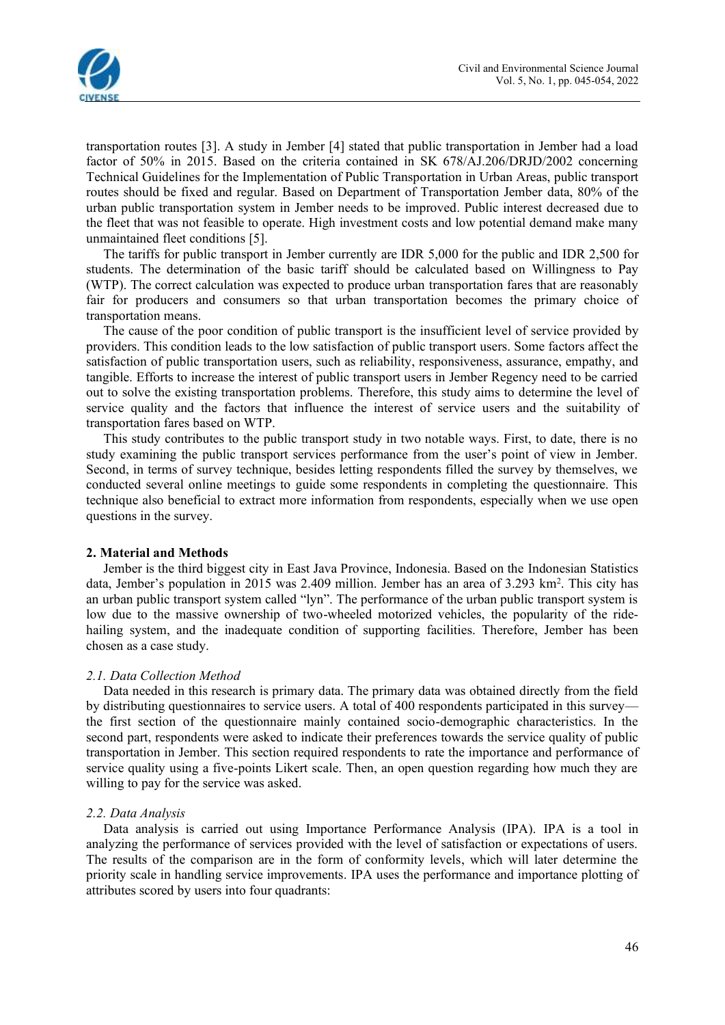

transportation routes [3]. A study in Jember [4] stated that public transportation in Jember had a load factor of 50% in 2015. Based on the criteria contained in SK 678/AJ.206/DRJD/2002 concerning Technical Guidelines for the Implementation of Public Transportation in Urban Areas, public transport routes should be fixed and regular. Based on Department of Transportation Jember data, 80% of the urban public transportation system in Jember needs to be improved. Public interest decreased due to the fleet that was not feasible to operate. High investment costs and low potential demand make many unmaintained fleet conditions [5].

The tariffs for public transport in Jember currently are IDR 5,000 for the public and IDR 2,500 for students. The determination of the basic tariff should be calculated based on Willingness to Pay (WTP). The correct calculation was expected to produce urban transportation fares that are reasonably fair for producers and consumers so that urban transportation becomes the primary choice of transportation means.

The cause of the poor condition of public transport is the insufficient level of service provided by providers. This condition leads to the low satisfaction of public transport users. Some factors affect the satisfaction of public transportation users, such as reliability, responsiveness, assurance, empathy, and tangible. Efforts to increase the interest of public transport users in Jember Regency need to be carried out to solve the existing transportation problems. Therefore, this study aims to determine the level of service quality and the factors that influence the interest of service users and the suitability of transportation fares based on WTP.

This study contributes to the public transport study in two notable ways. First, to date, there is no study examining the public transport services performance from the user's point of view in Jember. Second, in terms of survey technique, besides letting respondents filled the survey by themselves, we conducted several online meetings to guide some respondents in completing the questionnaire. This technique also beneficial to extract more information from respondents, especially when we use open questions in the survey.

#### **2. Material and Methods**

Jember is the third biggest city in East Java Province, Indonesia. Based on the Indonesian Statistics data, Jember's population in 2015 was 2.409 million. Jember has an area of 3.293 km<sup>2</sup>. This city has an urban public transport system called "lyn". The performance of the urban public transport system is low due to the massive ownership of two-wheeled motorized vehicles, the popularity of the ridehailing system, and the inadequate condition of supporting facilities. Therefore, Jember has been chosen as a case study.

#### *2.1. Data Collection Method*

Data needed in this research is primary data. The primary data was obtained directly from the field by distributing questionnaires to service users. A total of 400 respondents participated in this survey the first section of the questionnaire mainly contained socio-demographic characteristics. In the second part, respondents were asked to indicate their preferences towards the service quality of public transportation in Jember. This section required respondents to rate the importance and performance of service quality using a five-points Likert scale. Then, an open question regarding how much they are willing to pay for the service was asked.

#### *2.2. Data Analysis*

Data analysis is carried out using Importance Performance Analysis (IPA). IPA is a tool in analyzing the performance of services provided with the level of satisfaction or expectations of users. The results of the comparison are in the form of conformity levels, which will later determine the priority scale in handling service improvements. IPA uses the performance and importance plotting of attributes scored by users into four quadrants: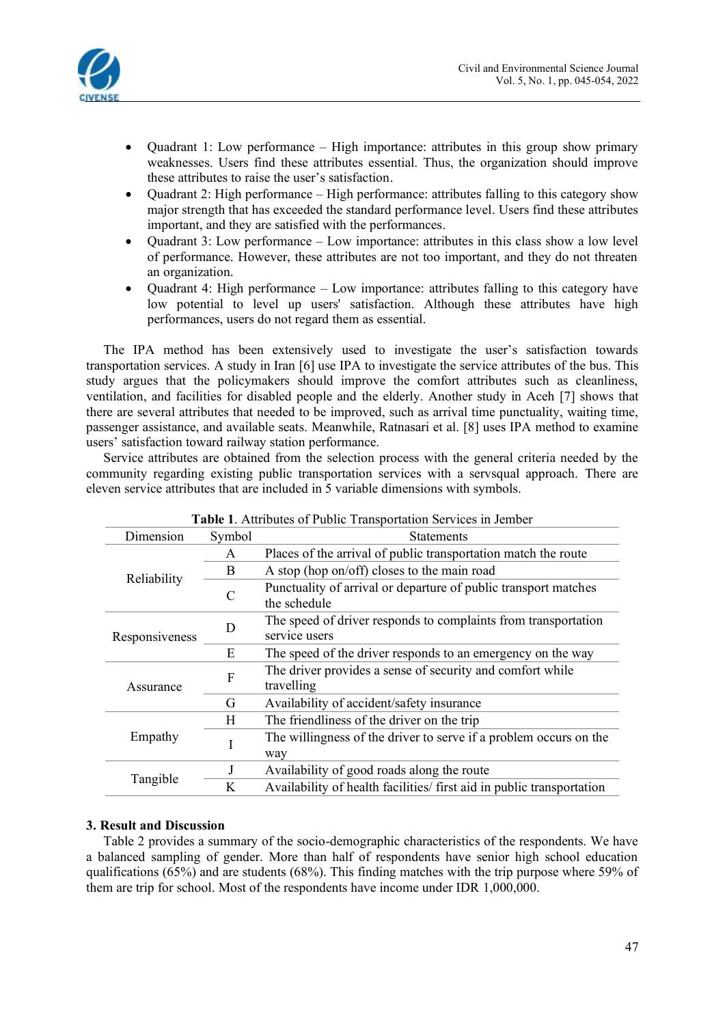

- Quadrant 1: Low performance High importance: attributes in this group show primary weaknesses. Users find these attributes essential. Thus, the organization should improve these attributes to raise the user's satisfaction.
- Quadrant 2: High performance High performance: attributes falling to this category show major strength that has exceeded the standard performance level. Users find these attributes important, and they are satisfied with the performances.
- Ouadrant 3: Low performance Low importance: attributes in this class show a low level of performance. However, these attributes are not too important, and they do not threaten an organization.
- Ouadrant 4: High performance Low importance: attributes falling to this category have low potential to level up users' satisfaction. Although these attributes have high performances, users do not regard them as essential.

The IPA method has been extensively used to investigate the user's satisfaction towards transportation services. A study in Iran [6] use IPA to investigate the service attributes of the bus. This study argues that the policymakers should improve the comfort attributes such as cleanliness, ventilation, and facilities for disabled people and the elderly. Another study in Aceh [7] shows that there are several attributes that needed to be improved, such as arrival time punctuality, waiting time, passenger assistance, and available seats. Meanwhile, Ratnasari et al. [8] uses IPA method to examine users' satisfaction toward railway station performance.

Service attributes are obtained from the selection process with the general criteria needed by the community regarding existing public transportation services with a servsqual approach. There are eleven service attributes that are included in 5 variable dimensions with symbols.

| <b>Table 1.</b> Attributes of Public Transportation Services in Jember |        |                                                                                 |  |  |
|------------------------------------------------------------------------|--------|---------------------------------------------------------------------------------|--|--|
| Dimension                                                              | Symbol | <b>Statements</b>                                                               |  |  |
|                                                                        | A      | Places of the arrival of public transportation match the route                  |  |  |
| Reliability                                                            | B      | A stop (hop on/off) closes to the main road                                     |  |  |
|                                                                        | C      | Punctuality of arrival or departure of public transport matches<br>the schedule |  |  |
| Responsiveness                                                         | D      | The speed of driver responds to complaints from transportation<br>service users |  |  |
|                                                                        | E      | The speed of the driver responds to an emergency on the way                     |  |  |
| Assurance                                                              | F      | The driver provides a sense of security and comfort while<br>travelling         |  |  |
|                                                                        | G      | Availability of accident/safety insurance                                       |  |  |
|                                                                        | Η      | The friendliness of the driver on the trip                                      |  |  |
| Empathy                                                                |        | The willingness of the driver to serve if a problem occurs on the<br>way        |  |  |
| Tangible                                                               | J      | Availability of good roads along the route                                      |  |  |
|                                                                        | K      | Availability of health facilities/ first aid in public transportation           |  |  |

**Table 1**. Attributes of Public Transportation Services in Jember

#### **3. Result and Discussion**

Table 2 provides a summary of the socio-demographic characteristics of the respondents. We have a balanced sampling of gender. More than half of respondents have senior high school education qualifications (65%) and are students (68%). This finding matches with the trip purpose where 59% of them are trip for school. Most of the respondents have income under IDR 1,000,000.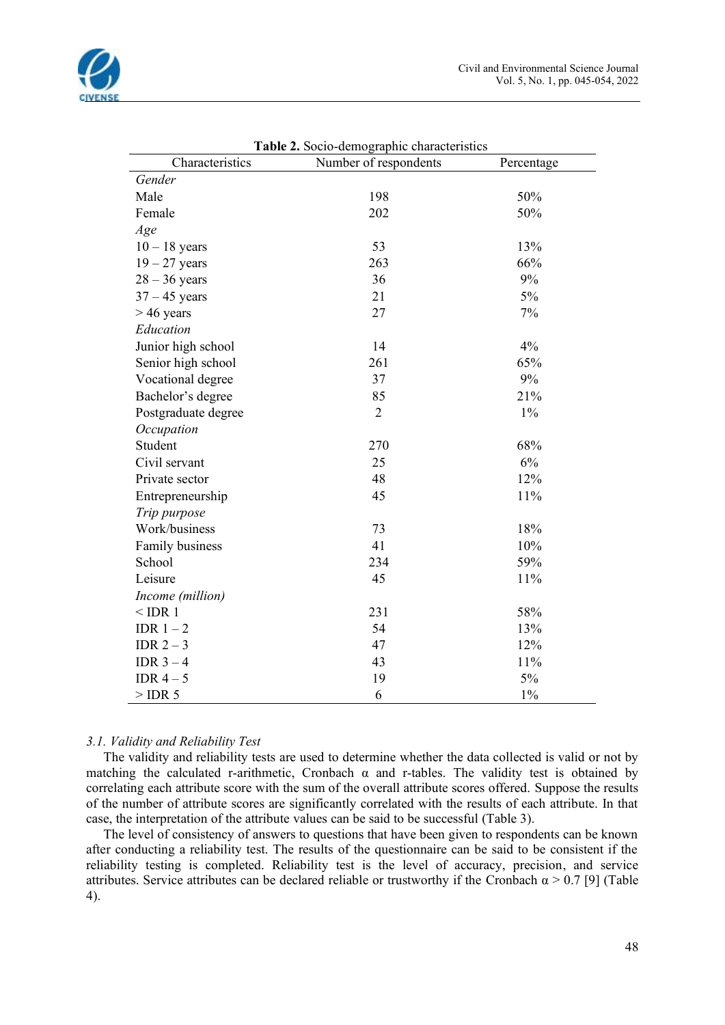

| Characteristics     | <b>I able 2.</b> Socio-demographic characteristics<br>Number of respondents | Percentage |
|---------------------|-----------------------------------------------------------------------------|------------|
| Gender              |                                                                             |            |
| Male                | 198                                                                         | 50%        |
| Female              | 202                                                                         | 50%        |
| Age                 |                                                                             |            |
| $10 - 18$ years     | 53                                                                          | 13%        |
| $19 - 27$ years     | 263                                                                         | 66%        |
| $28 - 36$ years     | 36                                                                          | 9%         |
| $37 - 45$ years     | 21                                                                          | 5%         |
| $>46$ years         | 27                                                                          | 7%         |
| Education           |                                                                             |            |
| Junior high school  | 14                                                                          | 4%         |
| Senior high school  | 261                                                                         | 65%        |
| Vocational degree   | 37                                                                          | 9%         |
| Bachelor's degree   | 85                                                                          | 21%        |
| Postgraduate degree | $\overline{2}$                                                              | $1\%$      |
| Occupation          |                                                                             |            |
| Student             | 270                                                                         | 68%        |
| Civil servant       | 25                                                                          | 6%         |
| Private sector      | 48                                                                          | 12%        |
| Entrepreneurship    | 45                                                                          | 11%        |
| Trip purpose        |                                                                             |            |
| Work/business       | 73                                                                          | 18%        |
| Family business     | 41                                                                          | 10%        |
| School              | 234                                                                         | 59%        |
| Leisure             | 45                                                                          | 11%        |
| Income (million)    |                                                                             |            |
| $<$ IDR 1           | 231                                                                         | 58%        |
| IDR $1-2$           | 54                                                                          | 13%        |
| IDR $2-3$           | 47                                                                          | 12%        |
| IDR $3-4$           | 43                                                                          | 11%        |
| IDR $4-5$           | 19                                                                          | 5%         |
| $>$ IDR 5           | 6                                                                           | $1\%$      |

|--|

#### *3.1. Validity and Reliability Test*

The validity and reliability tests are used to determine whether the data collected is valid or not by matching the calculated r-arithmetic, Cronbach  $\alpha$  and r-tables. The validity test is obtained by correlating each attribute score with the sum of the overall attribute scores offered. Suppose the results of the number of attribute scores are significantly correlated with the results of each attribute. In that case, the interpretation of the attribute values can be said to be successful (Table 3).

The level of consistency of answers to questions that have been given to respondents can be known after conducting a reliability test. The results of the questionnaire can be said to be consistent if the reliability testing is completed. Reliability test is the level of accuracy, precision, and service attributes. Service attributes can be declared reliable or trustworthy if the Cronbach  $\alpha$  > 0.7 [9] (Table 4).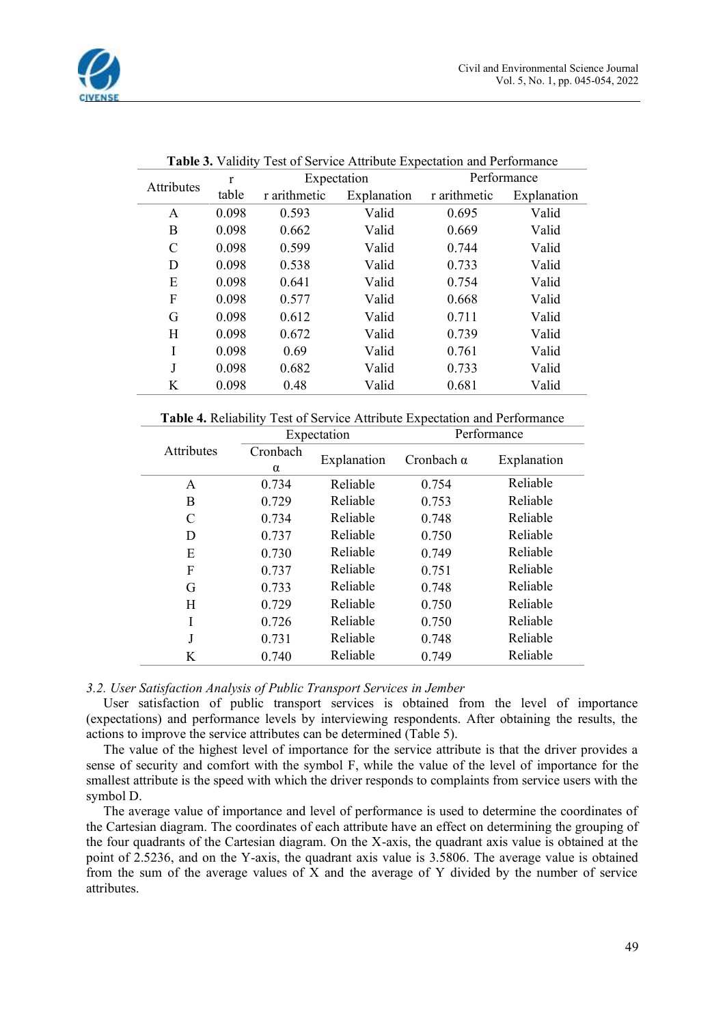

| <b>Table 3.</b> Validity Test of Service Authorite Expectation and Ferromance |       |              |             |              |             |  |
|-------------------------------------------------------------------------------|-------|--------------|-------------|--------------|-------------|--|
| Attributes                                                                    | r     |              | Expectation | Performance  |             |  |
|                                                                               | table | r arithmetic | Explanation | r arithmetic | Explanation |  |
| A                                                                             | 0.098 | 0.593        | Valid       | 0.695        | Valid       |  |
| B                                                                             | 0.098 | 0.662        | Valid       | 0.669        | Valid       |  |
| C                                                                             | 0.098 | 0.599        | Valid       | 0.744        | Valid       |  |
| D                                                                             | 0.098 | 0.538        | Valid       | 0.733        | Valid       |  |
| E                                                                             | 0.098 | 0.641        | Valid       | 0.754        | Valid       |  |
| F                                                                             | 0.098 | 0.577        | Valid       | 0.668        | Valid       |  |
| G                                                                             | 0.098 | 0.612        | Valid       | 0.711        | Valid       |  |
| Η                                                                             | 0.098 | 0.672        | Valid       | 0.739        | Valid       |  |
| I                                                                             | 0.098 | 0.69         | Valid       | 0.761        | Valid       |  |
| J                                                                             | 0.098 | 0.682        | Valid       | 0.733        | Valid       |  |
| K                                                                             | 0.098 | 0.48         | Valid       | 0.681        | Valid       |  |

|  | <b>Table 3.</b> Validity Test of Service Attribute Expectation and Performance |
|--|--------------------------------------------------------------------------------|
|  |                                                                                |

**Table 4.** Reliability Test of Service Attribute Expectation and Performance

|                   | Expectation |             | Performance       |             |  |
|-------------------|-------------|-------------|-------------------|-------------|--|
| <b>Attributes</b> | Cronbach    | Explanation | Cronbach $\alpha$ | Explanation |  |
|                   | α           |             |                   |             |  |
| A                 | 0.734       | Reliable    | 0.754             | Reliable    |  |
| B                 | 0.729       | Reliable    | 0.753             | Reliable    |  |
| C                 | 0.734       | Reliable    | 0.748             | Reliable    |  |
| D                 | 0.737       | Reliable    | 0.750             | Reliable    |  |
| E                 | 0.730       | Reliable    | 0.749             | Reliable    |  |
| F                 | 0.737       | Reliable    | 0.751             | Reliable    |  |
| G                 | 0.733       | Reliable    | 0.748             | Reliable    |  |
| Η                 | 0.729       | Reliable    | 0.750             | Reliable    |  |
| I                 | 0.726       | Reliable    | 0.750             | Reliable    |  |
| J                 | 0.731       | Reliable    | 0.748             | Reliable    |  |
| K                 | 0.740       | Reliable    | 0.749             | Reliable    |  |

#### *3.2. User Satisfaction Analysis of Public Transport Services in Jember*

User satisfaction of public transport services is obtained from the level of importance (expectations) and performance levels by interviewing respondents. After obtaining the results, the actions to improve the service attributes can be determined (Table 5).

The value of the highest level of importance for the service attribute is that the driver provides a sense of security and comfort with the symbol F, while the value of the level of importance for the smallest attribute is the speed with which the driver responds to complaints from service users with the symbol D.

The average value of importance and level of performance is used to determine the coordinates of the Cartesian diagram. The coordinates of each attribute have an effect on determining the grouping of the four quadrants of the Cartesian diagram. On the X-axis, the quadrant axis value is obtained at the point of 2.5236, and on the Y-axis, the quadrant axis value is 3.5806. The average value is obtained from the sum of the average values of X and the average of Y divided by the number of service attributes.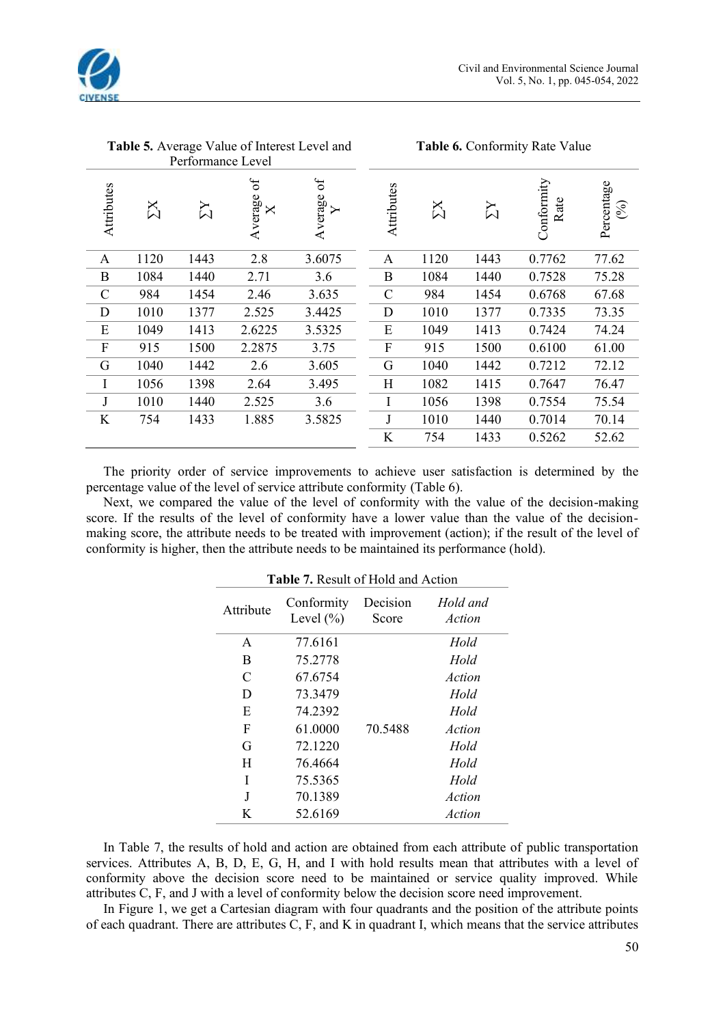

|                           |          | Performance Level   |                    |                     |               |            |          |                    |                             |
|---------------------------|----------|---------------------|--------------------|---------------------|---------------|------------|----------|--------------------|-----------------------------|
| Attributes                | $\sum X$ | $\overline{\Sigma}$ | ЪÇ<br>Average<br>X | $\delta$<br>Average | Attributes    | $\Sigma$ X | $\Sigma$ | Conformity<br>Rate | Percentage<br>$\mathcal{S}$ |
| A                         | 1120     | 1443                | 2.8                | 3.6075              | A             | 1120       | 1443     | 0.7762             | 77.62                       |
| $\mathbf B$               | 1084     | 1440                | 2.71               | 3.6                 | B             | 1084       | 1440     | 0.7528             | 75.28                       |
| $\mathbf C$               | 984      | 1454                | 2.46               | 3.635               | $\mathcal{C}$ | 984        | 1454     | 0.6768             | 67.68                       |
| D                         | 1010     | 1377                | 2.525              | 3.4425              | D             | 1010       | 1377     | 0.7335             | 73.35                       |
| E                         | 1049     | 1413                | 2.6225             | 3.5325              | E             | 1049       | 1413     | 0.7424             | 74.24                       |
| $\boldsymbol{\mathrm{F}}$ | 915      | 1500                | 2.2875             | 3.75                | F             | 915        | 1500     | 0.6100             | 61.00                       |
| G                         | 1040     | 1442                | 2.6                | 3.605               | G             | 1040       | 1442     | 0.7212             | 72.12                       |
| $\mathbf I$               | 1056     | 1398                | 2.64               | 3.495               | H             | 1082       | 1415     | 0.7647             | 76.47                       |
| J                         | 1010     | 1440                | 2.525              | 3.6                 |               | 1056       | 1398     | 0.7554             | 75.54                       |
| $\bf K$                   | 754      | 1433                | 1.885              | 3.5825              | J             | 1010       | 1440     | 0.7014             | 70.14                       |
|                           |          |                     |                    |                     | K             | 754        | 1433     | 0.5262             | 52.62                       |

**Table 5.** Average Value of Interest Level and Performance Level

**Table 6.** Conformity Rate Value

The priority order of service improvements to achieve user satisfaction is determined by the percentage value of the level of service attribute conformity (Table 6).

Next, we compared the value of the level of conformity with the value of the decision-making score. If the results of the level of conformity have a lower value than the value of the decisionmaking score, the attribute needs to be treated with improvement (action); if the result of the level of conformity is higher, then the attribute needs to be maintained its performance (hold).

| Table 7. Result of Hold and Action |                             |                   |                    |  |  |  |
|------------------------------------|-----------------------------|-------------------|--------------------|--|--|--|
| Attribute                          | Conformity<br>Level $(\% )$ | Decision<br>Score | Hold and<br>Action |  |  |  |
| A                                  | 77.6161                     |                   | Hold               |  |  |  |
| B                                  | 75.2778                     |                   | Hold               |  |  |  |
| C                                  | 67.6754                     |                   | Action             |  |  |  |
| D                                  | 73.3479                     |                   | Hold               |  |  |  |
| E                                  | 74.2392                     |                   | Hold               |  |  |  |
| F                                  | 61.0000                     | 70.5488           | Action             |  |  |  |
| G                                  | 72.1220                     |                   | Hold               |  |  |  |
| H                                  | 76.4664                     |                   | Hold               |  |  |  |
| I                                  | 75.5365                     |                   | Hold               |  |  |  |
| J                                  | 70.1389                     |                   | Action             |  |  |  |
| K                                  | 52.6169                     |                   | Action             |  |  |  |

In Table 7, the results of hold and action are obtained from each attribute of public transportation services. Attributes A, B, D, E, G, H, and I with hold results mean that attributes with a level of conformity above the decision score need to be maintained or service quality improved. While attributes C, F, and J with a level of conformity below the decision score need improvement.

In Figure 1, we get a Cartesian diagram with four quadrants and the position of the attribute points of each quadrant. There are attributes C, F, and K in quadrant I, which means that the service attributes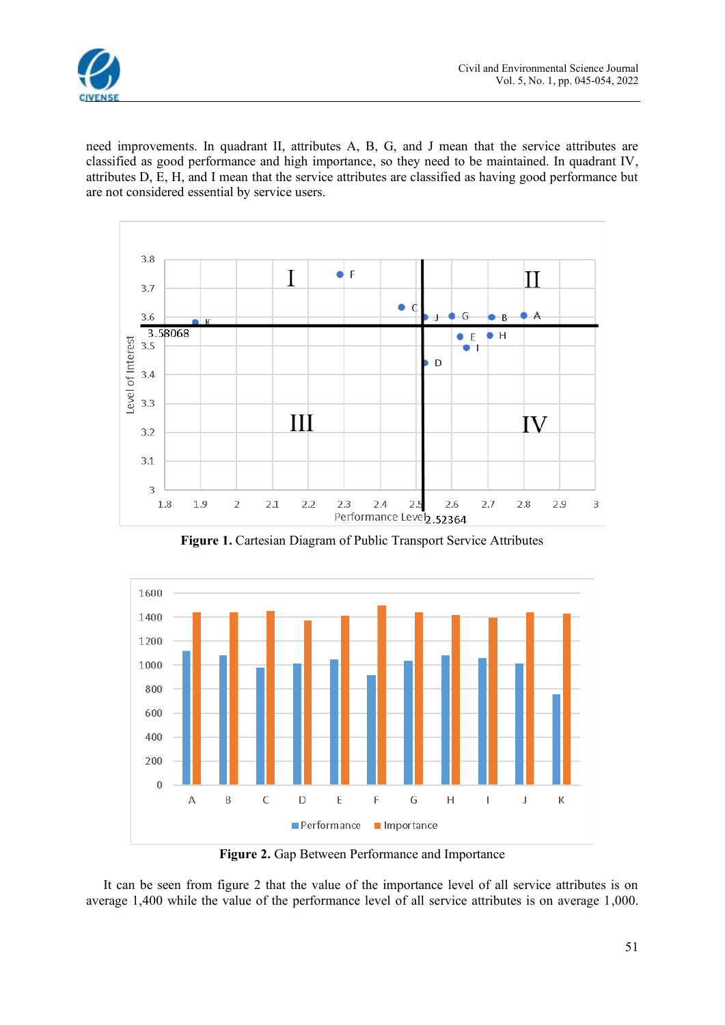

need improvements. In quadrant II, attributes A, B, G, and J mean that the service attributes are classified as good performance and high importance, so they need to be maintained. In quadrant IV, attributes D, E, H, and I mean that the service attributes are classified as having good performance but are not considered essential by service users.



**Figure 1.** Cartesian Diagram of Public Transport Service Attributes



**Figure 2.** Gap Between Performance and Importance

It can be seen from figure 2 that the value of the importance level of all service attributes is on average 1,400 while the value of the performance level of all service attributes is on average 1,000.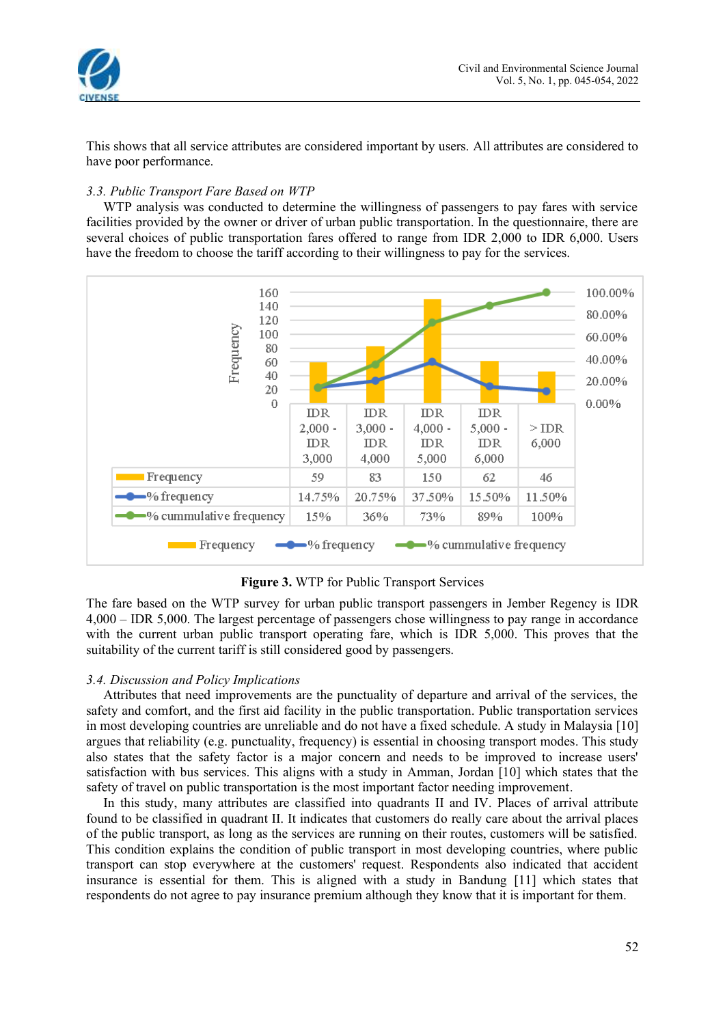

This shows that all service attributes are considered important by users. All attributes are considered to have poor performance.

### *3.3. Public Transport Fare Based on WTP*

WTP analysis was conducted to determine the willingness of passengers to pay fares with service facilities provided by the owner or driver of urban public transportation. In the questionnaire, there are several choices of public transportation fares offered to range from IDR 2,000 to IDR 6,000. Users have the freedom to choose the tariff according to their willingness to pay for the services.



**Figure 3.** WTP for Public Transport Services

The fare based on the WTP survey for urban public transport passengers in Jember Regency is IDR 4,000 – IDR 5,000. The largest percentage of passengers chose willingness to pay range in accordance with the current urban public transport operating fare, which is IDR 5,000. This proves that the suitability of the current tariff is still considered good by passengers.

## *3.4. Discussion and Policy Implications*

Attributes that need improvements are the punctuality of departure and arrival of the services, the safety and comfort, and the first aid facility in the public transportation. Public transportation services in most developing countries are unreliable and do not have a fixed schedule. A study in Malaysia [10] argues that reliability (e.g. punctuality, frequency) is essential in choosing transport modes. This study also states that the safety factor is a major concern and needs to be improved to increase users' satisfaction with bus services. This aligns with a study in Amman, Jordan [10] which states that the safety of travel on public transportation is the most important factor needing improvement.

In this study, many attributes are classified into quadrants II and IV. Places of arrival attribute found to be classified in quadrant II. It indicates that customers do really care about the arrival places of the public transport, as long as the services are running on their routes, customers will be satisfied. This condition explains the condition of public transport in most developing countries, where public transport can stop everywhere at the customers' request. Respondents also indicated that accident insurance is essential for them. This is aligned with a study in Bandung [11] which states that respondents do not agree to pay insurance premium although they know that it is important for them.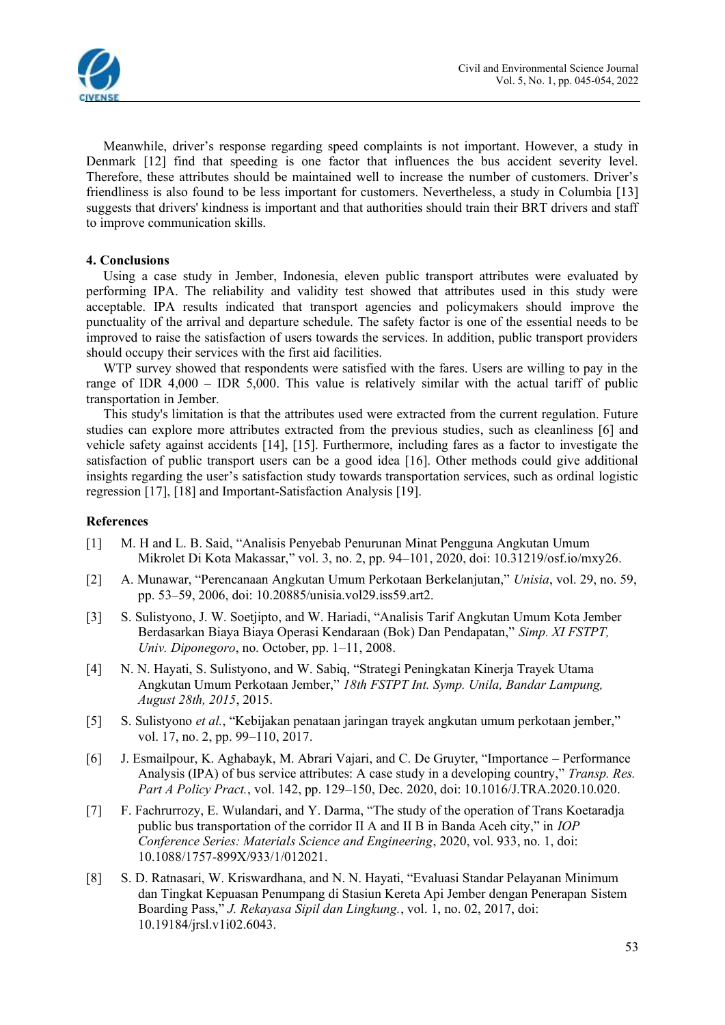

Meanwhile, driver's response regarding speed complaints is not important. However, a study in Denmark [12] find that speeding is one factor that influences the bus accident severity level. Therefore, these attributes should be maintained well to increase the number of customers. Driver's friendliness is also found to be less important for customers. Nevertheless, a study in Columbia [13] suggests that drivers' kindness is important and that authorities should train their BRT drivers and staff to improve communication skills.

#### **4. Conclusions**

Using a case study in Jember, Indonesia, eleven public transport attributes were evaluated by performing IPA. The reliability and validity test showed that attributes used in this study were acceptable. IPA results indicated that transport agencies and policymakers should improve the punctuality of the arrival and departure schedule. The safety factor is one of the essential needs to be improved to raise the satisfaction of users towards the services. In addition, public transport providers should occupy their services with the first aid facilities.

WTP survey showed that respondents were satisfied with the fares. Users are willing to pay in the range of IDR 4,000 – IDR 5,000. This value is relatively similar with the actual tariff of public transportation in Jember.

This study's limitation is that the attributes used were extracted from the current regulation. Future studies can explore more attributes extracted from the previous studies, such as cleanliness [6] and vehicle safety against accidents [14], [15]. Furthermore, including fares as a factor to investigate the satisfaction of public transport users can be a good idea [16]. Other methods could give additional insights regarding the user's satisfaction study towards transportation services, such as ordinal logistic regression [17], [18] and Important-Satisfaction Analysis [19].

#### **References**

- [1] M. H and L. B. Said, "Analisis Penyebab Penurunan Minat Pengguna Angkutan Umum Mikrolet Di Kota Makassar," vol. 3, no. 2, pp. 94–101, 2020, doi: 10.31219/osf.io/mxy26.
- [2] A. Munawar, "Perencanaan Angkutan Umum Perkotaan Berkelanjutan," *Unisia*, vol. 29, no. 59, pp. 53–59, 2006, doi: 10.20885/unisia.vol29.iss59.art2.
- [3] S. Sulistyono, J. W. Soetjipto, and W. Hariadi, "Analisis Tarif Angkutan Umum Kota Jember Berdasarkan Biaya Biaya Operasi Kendaraan (Bok) Dan Pendapatan," *Simp. XI FSTPT, Univ. Diponegoro*, no. October, pp. 1–11, 2008.
- [4] N. N. Hayati, S. Sulistyono, and W. Sabiq, "Strategi Peningkatan Kinerja Trayek Utama Angkutan Umum Perkotaan Jember," *18th FSTPT Int. Symp. Unila, Bandar Lampung, August 28th, 2015*, 2015.
- [5] S. Sulistyono *et al.*, "Kebijakan penataan jaringan trayek angkutan umum perkotaan jember," vol. 17, no. 2, pp. 99–110, 2017.
- [6] J. Esmailpour, K. Aghabayk, M. Abrari Vajari, and C. De Gruyter, "Importance Performance Analysis (IPA) of bus service attributes: A case study in a developing country," *Transp. Res. Part A Policy Pract.*, vol. 142, pp. 129–150, Dec. 2020, doi: 10.1016/J.TRA.2020.10.020.
- [7] F. Fachrurrozy, E. Wulandari, and Y. Darma, "The study of the operation of Trans Koetaradja public bus transportation of the corridor II A and II B in Banda Aceh city," in *IOP Conference Series: Materials Science and Engineering*, 2020, vol. 933, no. 1, doi: 10.1088/1757-899X/933/1/012021.
- [8] S. D. Ratnasari, W. Kriswardhana, and N. N. Hayati, "Evaluasi Standar Pelayanan Minimum dan Tingkat Kepuasan Penumpang di Stasiun Kereta Api Jember dengan Penerapan Sistem Boarding Pass," *J. Rekayasa Sipil dan Lingkung.*, vol. 1, no. 02, 2017, doi: 10.19184/jrsl.v1i02.6043.